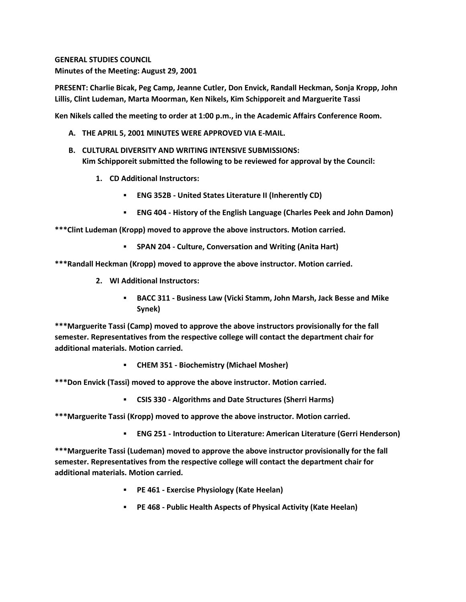**GENERAL STUDIES COUNCIL Minutes of the Meeting: August 29, 2001**

**PRESENT: Charlie Bicak, Peg Camp, Jeanne Cutler, Don Envick, Randall Heckman, Sonja Kropp, John Lillis, Clint Ludeman, Marta Moorman, Ken Nikels, Kim Schipporeit and Marguerite Tassi**

**Ken Nikels called the meeting to order at 1:00 p.m., in the Academic Affairs Conference Room.**

- **A. THE APRIL 5, 2001 MINUTES WERE APPROVED VIA E-MAIL.**
- **B. CULTURAL DIVERSITY AND WRITING INTENSIVE SUBMISSIONS: Kim Schipporeit submitted the following to be reviewed for approval by the Council:** 
	- **1. CD Additional Instructors:** 
		- **ENG 352B - United States Literature II (Inherently CD)**
		- **ENG 404 - History of the English Language (Charles Peek and John Damon)**

**\*\*\*Clint Ludeman (Kropp) moved to approve the above instructors. Motion carried.**

**SPAN 204 - Culture, Conversation and Writing (Anita Hart)**

**\*\*\*Randall Heckman (Kropp) moved to approve the above instructor. Motion carried.**

- **2. WI Additional Instructors:** 
	- **BACC 311 - Business Law (Vicki Stamm, John Marsh, Jack Besse and Mike Synek)**

**\*\*\*Marguerite Tassi (Camp) moved to approve the above instructors provisionally for the fall semester. Representatives from the respective college will contact the department chair for additional materials. Motion carried.**

**CHEM 351 - Biochemistry (Michael Mosher)**

**\*\*\*Don Envick (Tassi) moved to approve the above instructor. Motion carried.** 

**CSIS 330 - Algorithms and Date Structures (Sherri Harms)**

**\*\*\*Marguerite Tassi (Kropp) moved to approve the above instructor. Motion carried.** 

**ENG 251 - Introduction to Literature: American Literature (Gerri Henderson)**

**\*\*\*Marguerite Tassi (Ludeman) moved to approve the above instructor provisionally for the fall semester. Representatives from the respective college will contact the department chair for additional materials. Motion carried.**

- **PE 461 - Exercise Physiology (Kate Heelan)**
- **PE 468 - Public Health Aspects of Physical Activity (Kate Heelan)**